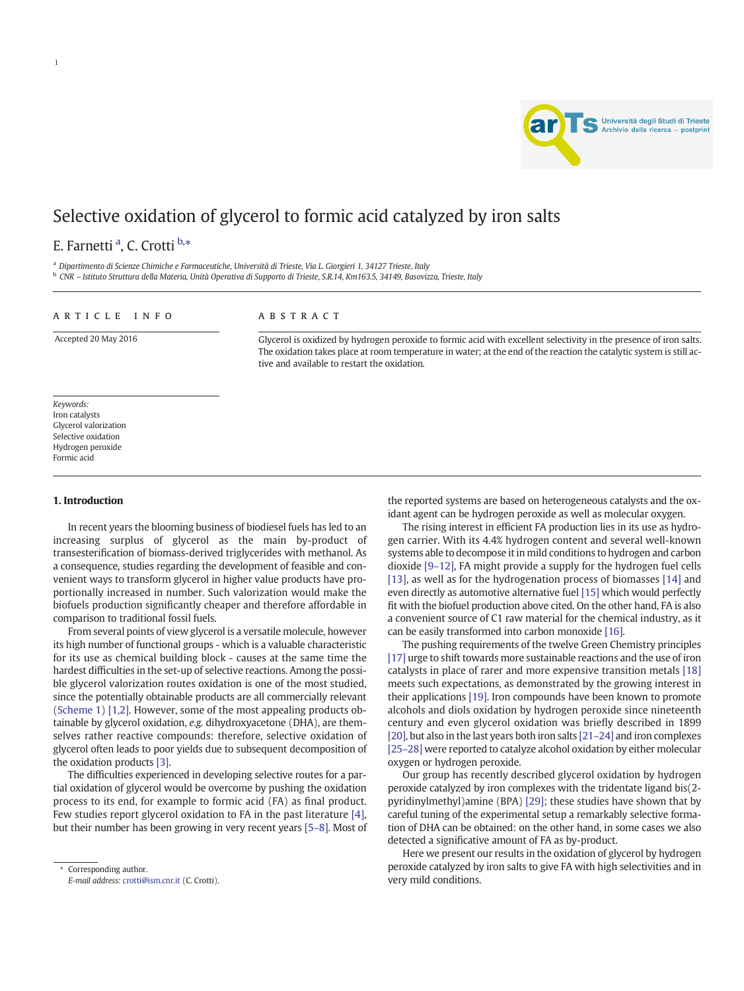

# Selective oxidation of glycerol to formic acid catalyzed by iron salts

## E. Farnetti <sup>a</sup>, C. Crotti <sup>b,</sup>\*

a Dipartimento di Scienze Chimiche e Farmaceutiche, Università di Trieste, Via L. Giorgieri 1, 34127 Trieste, Italy <sup>b</sup> CNR – Istituto Struttura della Materia, Unità Operativa di Supporto di Trieste, S.R.14, Km163.5, 34149, Basovizza, Trieste, Italy

#### article info abstract

1

Accepted 20 May 2016 Glycerol is oxidized by hydrogen peroxide to formic acid with excellent selectivity in the presence of iron salts. The oxidation takes place at room temperature in water; at the end of the reaction the catalytic system is still active and available to restart the oxidation.

Keywords: Iron catalysts Glycerol valorization Selective oxidation Hydrogen peroxide Formic acid

#### 1. Introduction

In recent years the blooming business of biodiesel fuels has led to an increasing surplus of glycerol as the main by-product of transesterification of biomass-derived triglycerides with methanol. As a consequence, studies regarding the development of feasible and convenient ways to transform glycerol in higher value products have proportionally increased in number. Such valorization would make the biofuels production significantly cheaper and therefore affordable in comparison to traditional fossil fuels.

From several points of view glycerol is a versatile molecule, however its high number of functional groups - which is a valuable characteristic for its use as chemical building block - causes at the same time the hardest difficulties in the set-up of selective reactions. Among the possible glycerol valorization routes oxidation is one of the most studied, since the potentially obtainable products are all commercially relevant [\(Scheme 1](#page-1-0)) [\[1,2\]](#page-3-0). However, some of the most appealing products obtainable by glycerol oxidation, e.g. dihydroxyacetone (DHA), are themselves rather reactive compounds: therefore, selective oxidation of glycerol often leads to poor yields due to subsequent decomposition of the oxidation products [\[3\]](#page-3-0).

The difficulties experienced in developing selective routes for a partial oxidation of glycerol would be overcome by pushing the oxidation process to its end, for example to formic acid (FA) as final product. Few studies report glycerol oxidation to FA in the past literature [\[4\],](#page-3-0) but their number has been growing in very recent years [5–[8\].](#page-3-0) Most of the reported systems are based on heterogeneous catalysts and the oxidant agent can be hydrogen peroxide as well as molecular oxygen. The rising interest in efficient FA production lies in its use as hydro-

gen carrier. With its 4.4% hydrogen content and several well-known systems able to decompose it in mild conditions to hydrogen and carbon dioxide [9–[12\],](#page-3-0) FA might provide a supply for the hydrogen fuel cells [\[13\]](#page-3-0), as well as for the hydrogenation process of biomasses [\[14\]](#page-3-0) and even directly as automotive alternative fuel [\[15\]](#page-3-0) which would perfectly fit with the biofuel production above cited. On the other hand, FA is also a convenient source of C1 raw material for the chemical industry, as it can be easily transformed into carbon monoxide [\[16\].](#page-3-0)

The pushing requirements of the twelve Green Chemistry principles [\[17\]](#page-3-0) urge to shift towards more sustainable reactions and the use of iron catalysts in place of rarer and more expensive transition metals [\[18\]](#page-3-0) meets such expectations, as demonstrated by the growing interest in their applications [\[19\].](#page-3-0) Iron compounds have been known to promote alcohols and diols oxidation by hydrogen peroxide since nineteenth century and even glycerol oxidation was briefly described in 1899 [\[20\],](#page-3-0) but also in the last years both iron salts [\[21](#page-3-0)–24] and iron complexes [25–[28\]](#page-3-0) were reported to catalyze alcohol oxidation by either molecular oxygen or hydrogen peroxide.

Our group has recently described glycerol oxidation by hydrogen peroxide catalyzed by iron complexes with the tridentate ligand bis(2 pyridinylmethyl)amine (BPA) [\[29\];](#page-3-0) these studies have shown that by careful tuning of the experimental setup a remarkably selective formation of DHA can be obtained: on the other hand, in some cases we also detected a significative amount of FA as by-product.

Here we present our results in the oxidation of glycerol by hydrogen peroxide catalyzed by iron salts to give FA with high selectivities and in very mild conditions.

Corresponding author. E-mail address: [crotti@ism.cnr.it](mailto:crotti@ism.cnr.it) (C. Crotti).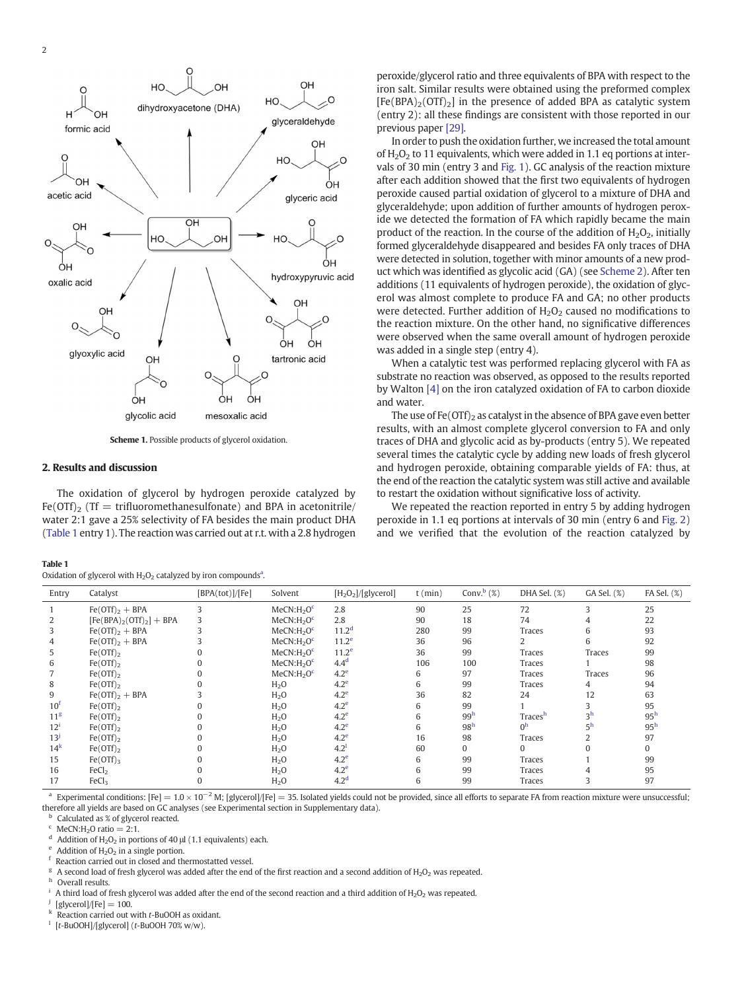<span id="page-1-0"></span>

Scheme 1. Possible products of glycerol oxidation.

#### 2. Results and discussion

The oxidation of glycerol by hydrogen peroxide catalyzed by  $Fe(OTf)_2$  (Tf = trifluoromethanesulfonate) and BPA in acetonitrile/ water 2:1 gave a 25% selectivity of FA besides the main product DHA (Table 1 entry 1). The reaction was carried out at r.t. with a 2.8 hydrogen

| Oxidation of glycerol with $H_2O_2$ catalyzed by iron compounds <sup>a</sup> . |  |  |  |
|--------------------------------------------------------------------------------|--|--|--|
|--------------------------------------------------------------------------------|--|--|--|

peroxide/glycerol ratio and three equivalents of BPA with respect to the iron salt. Similar results were obtained using the preformed complex  $[Fe(BPA)<sub>2</sub>(OTf)<sub>2</sub>]$  in the presence of added BPA as catalytic system (entry 2): all these findings are consistent with those reported in our previous paper [\[29\]](#page-3-0).

In order to push the oxidation further, we increased the total amount of  $H_2O_2$  to 11 equivalents, which were added in 1.1 eq portions at intervals of 30 min (entry 3 and [Fig. 1](#page-2-0)). GC analysis of the reaction mixture after each addition showed that the first two equivalents of hydrogen peroxide caused partial oxidation of glycerol to a mixture of DHA and glyceraldehyde; upon addition of further amounts of hydrogen peroxide we detected the formation of FA which rapidly became the main product of the reaction. In the course of the addition of  $H_2O_2$ , initially formed glyceraldehyde disappeared and besides FA only traces of DHA were detected in solution, together with minor amounts of a new product which was identified as glycolic acid (GA) (see [Scheme 2\)](#page-2-0). After ten additions (11 equivalents of hydrogen peroxide), the oxidation of glycerol was almost complete to produce FA and GA; no other products were detected. Further addition of  $H_2O_2$  caused no modifications to the reaction mixture. On the other hand, no significative differences were observed when the same overall amount of hydrogen peroxide was added in a single step (entry 4).

When a catalytic test was performed replacing glycerol with FA as substrate no reaction was observed, as opposed to the results reported by Walton [\[4\]](#page-3-0) on the iron catalyzed oxidation of FA to carbon dioxide and water.

The use of Fe $(OTf)_2$  as catalyst in the absence of BPA gave even better results, with an almost complete glycerol conversion to FA and only traces of DHA and glycolic acid as by-products (entry 5). We repeated several times the catalytic cycle by adding new loads of fresh glycerol and hydrogen peroxide, obtaining comparable yields of FA: thus, at the end of the reaction the catalytic system was still active and available to restart the oxidation without significative loss of activity.

We repeated the reaction reported in entry 5 by adding hydrogen peroxide in 1.1 eq portions at intervals of 30 min (entry 6 and [Fig. 2](#page-2-0)) and we verified that the evolution of the reaction catalyzed by

| Oxidation or glyceror with 11909 catalyzed by from compounds. |                          |                 |                                    |                       |           |                 |                |                |                 |  |  |  |
|---------------------------------------------------------------|--------------------------|-----------------|------------------------------------|-----------------------|-----------|-----------------|----------------|----------------|-----------------|--|--|--|
| Entry                                                         | Catalyst                 | [BPA(tot)]/[Fe] | Solvent                            | $[H_2O_2]/[glycerol]$ | $t$ (min) | Conv. $b$ (%)   | DHA Sel. (%)   | GA Sel. (%)    | FA Sel. (%)     |  |  |  |
|                                                               | $Fe(OTf)_2 + BPA$        |                 | MeCN:H <sub>2</sub> O <sup>c</sup> | 2.8                   | 90        | 25              | 72             |                | 25              |  |  |  |
|                                                               | $[Fe(BPA)2(OTF)2] + BPA$ |                 | MeCN:H <sub>2</sub> O <sup>c</sup> | 2.8                   | 90        | 18              | 74             |                | 22              |  |  |  |
|                                                               | $Fe(OTf)_2 + BPA$        |                 | MeCN:H <sub>2</sub> O <sup>c</sup> | 11.2 <sup>d</sup>     | 280       | 99              | Traces         | 6              | 93              |  |  |  |
| 4                                                             | $Fe(OTf)_2 + BPA$        |                 | MeCN:H <sub>2</sub> O <sup>c</sup> | $11.2^e$              | 36        | 96              |                | 6              | 92              |  |  |  |
| 5                                                             | $Fe(OTf)_2$              |                 | MeCN:H <sub>2</sub> O <sup>c</sup> | 11.2 <sup>e</sup>     | 36        | 99              | Traces         | Traces         | 99              |  |  |  |
| 6                                                             | $Fe(OTf)_2$              |                 | MeCN:H <sub>2</sub> O <sup>c</sup> | 4.4 <sup>d</sup>      | 106       | 100             | Traces         |                | 98              |  |  |  |
|                                                               | $Fe(OTf)_2$              |                 | MeCN:H <sub>2</sub> O <sup>c</sup> | 4.2 <sup>e</sup>      | 6         | 97              | Traces         | Traces         | 96              |  |  |  |
| 8                                                             | $Fe(OTf)_2$              |                 | H <sub>2</sub> O                   | 4.2 <sup>e</sup>      | 6         | 99              | Traces         | 4              | 94              |  |  |  |
| 9                                                             | $Fe(OTf)_2 + BPA$        |                 | H <sub>2</sub> O                   | 4.2 <sup>e</sup>      | 36        | 82              | 24             | 12             | 63              |  |  |  |
| 10 <sup>t</sup>                                               | $Fe(OTf)_2$              |                 | H <sub>2</sub> O                   | 4.2 <sup>e</sup>      | 6         | 99              |                |                | 95              |  |  |  |
| 11 <sup>g</sup>                                               | $Fe(OTf)_2$              |                 | H <sub>2</sub> O                   | 4.2 <sup>e</sup>      | 6         | 99 <sup>h</sup> | Tracesh        | 3 <sup>h</sup> | 95 <sup>h</sup> |  |  |  |
| $12^i$                                                        | $Fe(OTf)_2$              |                 | H <sub>2</sub> O                   | 4.2 <sup>e</sup>      | 6         | 98 <sup>h</sup> | 0 <sup>h</sup> | 5 <sup>h</sup> | 95 <sup>h</sup> |  |  |  |
| 13 <sup>j</sup>                                               | $Fe(OTf)_2$              |                 | H <sub>2</sub> O                   | 4.2 <sup>e</sup>      | 16        | 98              | Traces         |                | 97              |  |  |  |
| $14^k$                                                        | $Fe(OTf)_2$              |                 | H <sub>2</sub> O                   | $4.2^{1}$             | 60        | $\Omega$        | $\Omega$       |                | $\mathbf{0}$    |  |  |  |
| 15                                                            | $Fe(OTf)$ <sub>3</sub>   |                 | H <sub>2</sub> O                   | 4.2 <sup>e</sup>      | 6         | 99              | Traces         |                | 99              |  |  |  |
| 16                                                            | FeCl <sub>2</sub>        |                 | H <sub>2</sub> 0                   | 4.2 <sup>e</sup>      | 6         | 99              | Traces         |                | 95              |  |  |  |
| 17                                                            | FeCl <sub>3</sub>        |                 | H <sub>2</sub> O                   | 4.2 <sup>d</sup>      | 6         | 99              | Traces         |                | 97              |  |  |  |

<sup>a</sup> Experimental conditions: [Fe] = 1.0 × 10<sup>-2</sup> M; [glycerol]/[Fe] = 35. Isolated yields could not be provided, since all efforts to separate FA from reaction mixture were unsuccessful; therefore all yields are based on GC analyses (see Experimental section in Supplementary data).

<sup>b</sup> Calculated as % of glycerol reacted.<br>
<sup>c</sup> MeCN:H<sub>2</sub>O ratio = 2:1.

Addition of H<sub>2</sub>O<sub>2</sub> in portions of 40  $\mu$  (1.1 equivalents) each.<br>Addition of H<sub>2</sub>O<sub>2</sub> in a single portion.<br>Reaction carried out in closed and thermostatted vessel.

<sup>g</sup> A second load of fresh glycerol was added after the end of the first reaction and a second addition of  $H_2O_2$  was repeated.<br><sup>h</sup> Overall results.

A third load of fresh glycerol was added after the end of the second reaction and a third addition of  $H_2O_2$  was repeated. [glycerol]/[Fe] = 100.

Reaction carried out with t-BuOOH as oxidant.

 $\frac{1}{1}$  [t-BuOOH]/[glycerol] (t-BuOOH 70% w/w).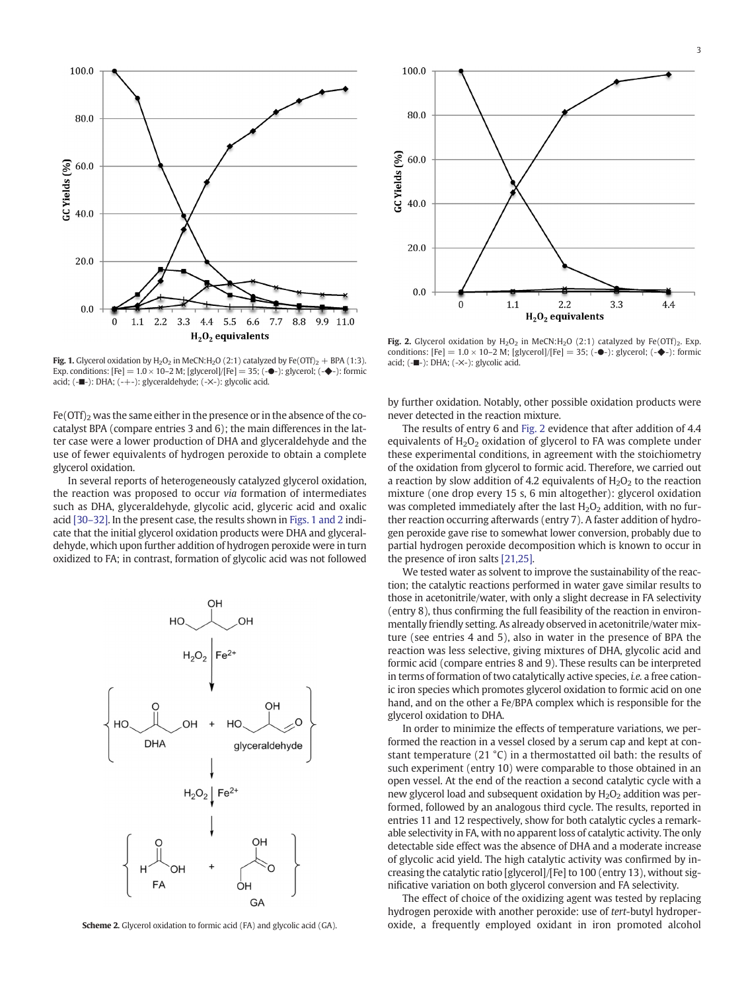<span id="page-2-0"></span>



Fig. 2. Glycerol oxidation by  $H_2O_2$  in MeCN: $H_2O$  (2:1) catalyzed by Fe(OTf)<sub>2</sub>. Exp. conditions: [Fe] =  $1.0 \times 10$ –2 M; [glycerol]/[Fe] = 35; (- $\bullet$ -): glycerol; (- $\bullet$ -): formic acid; (-■-): DHA; (-✕-): glycolic acid.

Fig. 1. Glycerol oxidation by  $H_2O_2$  in MeCN:  $H_2O$  (2:1) catalyzed by Fe(OTf)<sub>2</sub> + BPA (1:3). Exp. conditions: [Fe]  $= 1.0 \times 10-2$  M; [glycerol]/[Fe]  $= 35$ ; (- $\bullet$ -): glycerol; (- $\bullet$ -): formic acid; (-■-): DHA; (-+-): glyceraldehyde; (-✕-): glycolic acid.

 $Fe(OTf)_2$  was the same either in the presence or in the absence of the cocatalyst BPA (compare entries 3 and 6); the main differences in the latter case were a lower production of DHA and glyceraldehyde and the use of fewer equivalents of hydrogen peroxide to obtain a complete glycerol oxidation.

In several reports of heterogeneously catalyzed glycerol oxidation, the reaction was proposed to occur via formation of intermediates such as DHA, glyceraldehyde, glycolic acid, glyceric acid and oxalic acid [\[30](#page-3-0)–32]. In the present case, the results shown in Figs. 1 and 2 indicate that the initial glycerol oxidation products were DHA and glyceraldehyde, which upon further addition of hydrogen peroxide were in turn oxidized to FA; in contrast, formation of glycolic acid was not followed



Scheme 2. Glycerol oxidation to formic acid (FA) and glycolic acid (GA).

by further oxidation. Notably, other possible oxidation products were never detected in the reaction mixture.

The results of entry 6 and Fig. 2 evidence that after addition of 4.4 equivalents of  $H_2O_2$  oxidation of glycerol to FA was complete under these experimental conditions, in agreement with the stoichiometry of the oxidation from glycerol to formic acid. Therefore, we carried out a reaction by slow addition of 4.2 equivalents of  $H_2O_2$  to the reaction mixture (one drop every 15 s, 6 min altogether): glycerol oxidation was completed immediately after the last  $H_2O_2$  addition, with no further reaction occurring afterwards (entry 7). A faster addition of hydrogen peroxide gave rise to somewhat lower conversion, probably due to partial hydrogen peroxide decomposition which is known to occur in the presence of iron salts [\[21,25\]](#page-3-0).

We tested water as solvent to improve the sustainability of the reaction; the catalytic reactions performed in water gave similar results to those in acetonitrile/water, with only a slight decrease in FA selectivity (entry 8), thus confirming the full feasibility of the reaction in environmentally friendly setting. As already observed in acetonitrile/water mixture (see entries 4 and 5), also in water in the presence of BPA the reaction was less selective, giving mixtures of DHA, glycolic acid and formic acid (compare entries 8 and 9). These results can be interpreted in terms of formation of two catalytically active species, i.e. a free cationic iron species which promotes glycerol oxidation to formic acid on one hand, and on the other a Fe/BPA complex which is responsible for the glycerol oxidation to DHA.

In order to minimize the effects of temperature variations, we performed the reaction in a vessel closed by a serum cap and kept at constant temperature (21 °C) in a thermostatted oil bath: the results of such experiment (entry 10) were comparable to those obtained in an open vessel. At the end of the reaction a second catalytic cycle with a new glycerol load and subsequent oxidation by  $H_2O_2$  addition was performed, followed by an analogous third cycle. The results, reported in entries 11 and 12 respectively, show for both catalytic cycles a remarkable selectivity in FA, with no apparent loss of catalytic activity. The only detectable side effect was the absence of DHA and a moderate increase of glycolic acid yield. The high catalytic activity was confirmed by increasing the catalytic ratio [glycerol]/[Fe] to 100 (entry 13), without significative variation on both glycerol conversion and FA selectivity.

The effect of choice of the oxidizing agent was tested by replacing hydrogen peroxide with another peroxide: use of tert-butyl hydroperoxide, a frequently employed oxidant in iron promoted alcohol